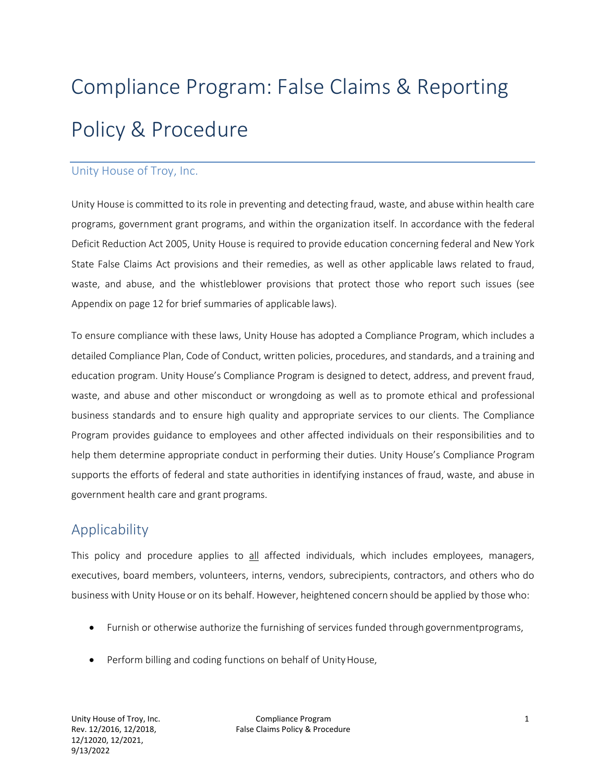# Compliance Program: False Claims & Reporting Policy & Procedure

#### Unity House of Troy, Inc.

Unity House is committed to its role in preventing and detecting fraud, waste, and abuse within health care programs, government grant programs, and within the organization itself. In accordance with the federal Deficit Reduction Act 2005, Unity House is required to provide education concerning federal and New York State False Claims Act provisions and their remedies, as well as other applicable laws related to fraud, waste, and abuse, and the whistleblower provisions that protect those who report such issues (see Appendix on page 12 for brief summaries of applicable laws).

To ensure compliance with these laws, Unity House has adopted a Compliance Program, which includes a detailed Compliance Plan, Code of Conduct, written policies, procedures, and standards, and a training and education program. Unity House's Compliance Program is designed to detect, address, and prevent fraud, waste, and abuse and other misconduct or wrongdoing as well as to promote ethical and professional business standards and to ensure high quality and appropriate services to our clients. The Compliance Program provides guidance to employees and other affected individuals on their responsibilities and to help them determine appropriate conduct in performing their duties. Unity House's Compliance Program supports the efforts of federal and state authorities in identifying instances of fraud, waste, and abuse in government health care and grant programs.

## **Applicability**

This policy and procedure applies to all affected individuals, which includes employees, managers, executives, board members, volunteers, interns, vendors, subrecipients, contractors, and others who do business with Unity House or on its behalf. However, heightened concern should be applied by those who:

- Furnish or otherwise authorize the furnishing of services funded through governmentprograms,
- Perform billing and coding functions on behalf of Unity House,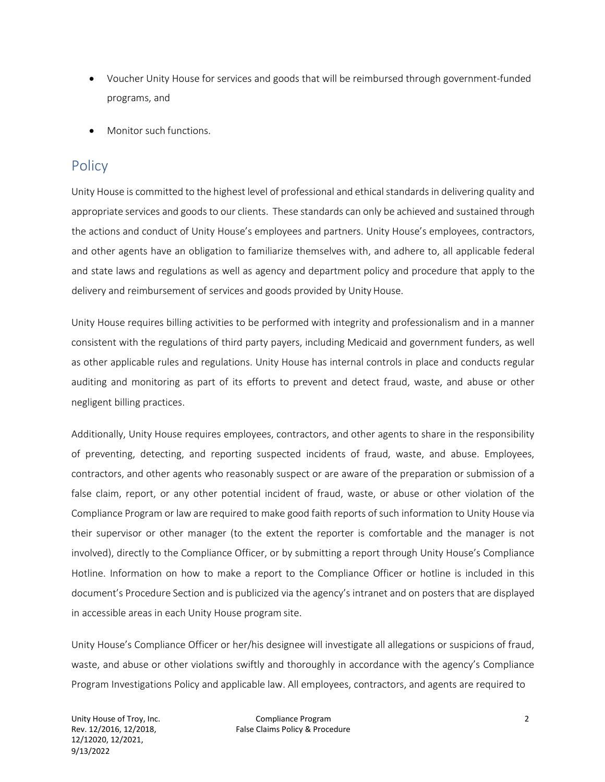- Voucher Unity House for services and goods that will be reimbursed through government-funded programs, and
- Monitor such functions.

## **Policy**

Unity House is committed to the highest level of professional and ethical standards in delivering quality and appropriate services and goods to our clients. These standards can only be achieved and sustained through the actions and conduct of Unity House's employees and partners. Unity House's employees, contractors, and other agents have an obligation to familiarize themselves with, and adhere to, all applicable federal and state laws and regulations as well as agency and department policy and procedure that apply to the delivery and reimbursement of services and goods provided by Unity House.

Unity House requires billing activities to be performed with integrity and professionalism and in a manner consistent with the regulations of third party payers, including Medicaid and government funders, as well as other applicable rules and regulations. Unity House has internal controls in place and conducts regular auditing and monitoring as part of its efforts to prevent and detect fraud, waste, and abuse or other negligent billing practices.

Additionally, Unity House requires employees, contractors, and other agents to share in the responsibility of preventing, detecting, and reporting suspected incidents of fraud, waste, and abuse. Employees, contractors, and other agents who reasonably suspect or are aware of the preparation or submission of a false claim, report, or any other potential incident of fraud, waste, or abuse or other violation of the Compliance Program or law are required to make good faith reports of such information to Unity House via their supervisor or other manager (to the extent the reporter is comfortable and the manager is not involved), directly to the Compliance Officer, or by submitting a report through Unity House's Compliance Hotline. Information on how to make a report to the Compliance Officer or hotline is included in this document's Procedure Section and is publicized via the agency's intranet and on posters that are displayed in accessible areas in each Unity House program site.

Unity House's Compliance Officer or her/his designee will investigate all allegations or suspicions of fraud, waste, and abuse or other violations swiftly and thoroughly in accordance with the agency's Compliance Program Investigations Policy and applicable law. All employees, contractors, and agents are required to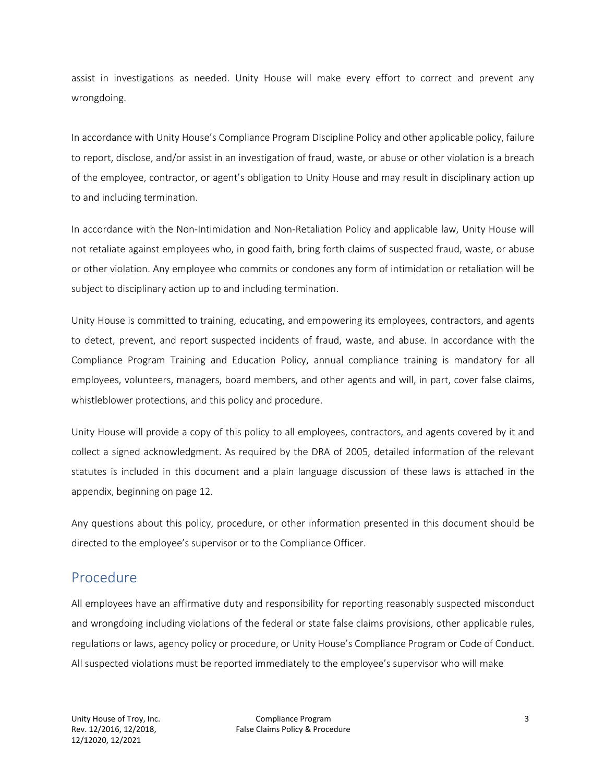assist in investigations as needed. Unity House will make every effort to correct and prevent any wrongdoing.

In accordance with Unity House's Compliance Program Discipline Policy and other applicable policy, failure to report, disclose, and/or assist in an investigation of fraud, waste, or abuse or other violation is a breach of the employee, contractor, or agent's obligation to Unity House and may result in disciplinary action up to and including termination.

In accordance with the Non-Intimidation and Non-Retaliation Policy and applicable law, Unity House will not retaliate against employees who, in good faith, bring forth claims of suspected fraud, waste, or abuse or other violation. Any employee who commits or condones any form of intimidation or retaliation will be subject to disciplinary action up to and including termination.

Unity House is committed to training, educating, and empowering its employees, contractors, and agents to detect, prevent, and report suspected incidents of fraud, waste, and abuse. In accordance with the Compliance Program Training and Education Policy, annual compliance training is mandatory for all employees, volunteers, managers, board members, and other agents and will, in part, cover false claims, whistleblower protections, and this policy and procedure.

Unity House will provide a copy of this policy to all employees, contractors, and agents covered by it and collect a signed acknowledgment. As required by the DRA of 2005, detailed information of the relevant statutes is included in this document and a plain language discussion of these laws is attached in the appendix, beginning on page 12.

Any questions about this policy, procedure, or other information presented in this document should be directed to the employee's supervisor or to the Compliance Officer.

## Procedure

All employees have an affirmative duty and responsibility for reporting reasonably suspected misconduct and wrongdoing including violations of the federal or state false claims provisions, other applicable rules, regulations or laws, agency policy or procedure, or Unity House's Compliance Program or Code of Conduct. All suspected violations must be reported immediately to the employee's supervisor who will make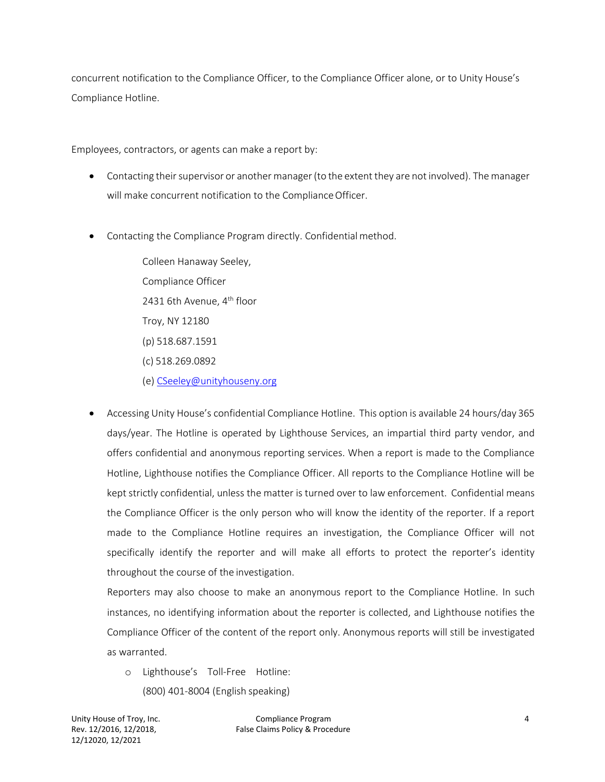concurrent notification to the Compliance Officer, to the Compliance Officer alone, or to Unity House's Compliance Hotline.

Employees, contractors, or agents can make a report by:

- Contacting their supervisor or another manager (to the extent they are not involved). The manager will make concurrent notification to the Compliance Officer.
- Contacting the Compliance Program directly. Confidential method.

Colleen Hanaway Seeley, Compliance Officer 2431 6th Avenue, 4<sup>th</sup> floor Troy, NY 12180 (p) 518.687.1591 (c) 518.269.0892 (e) [CSeeley@unityhouseny.org](mailto:ARyan@unityhouseny.org)

• Accessing Unity House's confidential Compliance Hotline. This option is available 24 hours/day 365 days/year. The Hotline is operated by Lighthouse Services, an impartial third party vendor, and offers confidential and anonymous reporting services. When a report is made to the Compliance Hotline, Lighthouse notifies the Compliance Officer. All reports to the Compliance Hotline will be kept strictly confidential, unless the matter is turned over to law enforcement. Confidential means the Compliance Officer is the only person who will know the identity of the reporter. If a report made to the Compliance Hotline requires an investigation, the Compliance Officer will not specifically identify the reporter and will make all efforts to protect the reporter's identity throughout the course of the investigation.

Reporters may also choose to make an anonymous report to the Compliance Hotline. In such instances, no identifying information about the reporter is collected, and Lighthouse notifies the Compliance Officer of the content of the report only. Anonymous reports will still be investigated as warranted.

o Lighthouse's Toll-Free Hotline: (800) 401-8004 (English speaking)

Unity House of Troy, Inc. Rev. 12/2016, 12/2018, 12/12020, 12/2021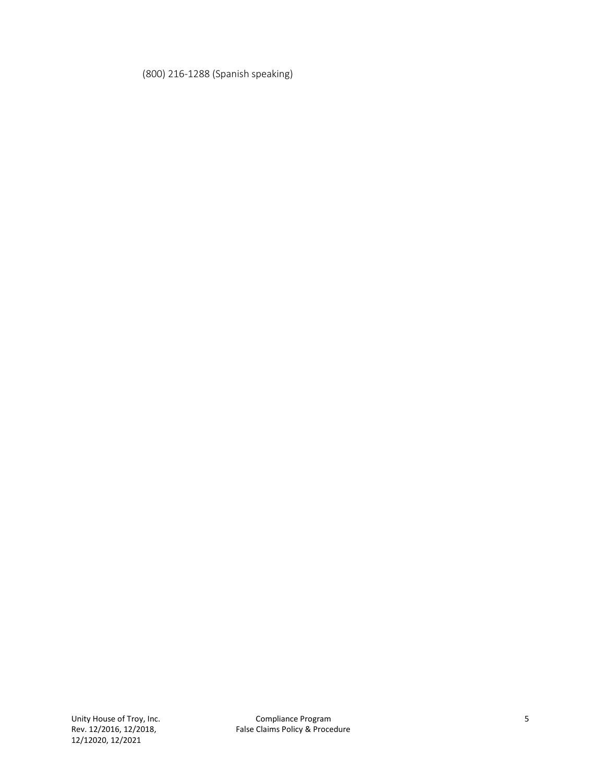#### (800) 216-1288 (Spanish speaking)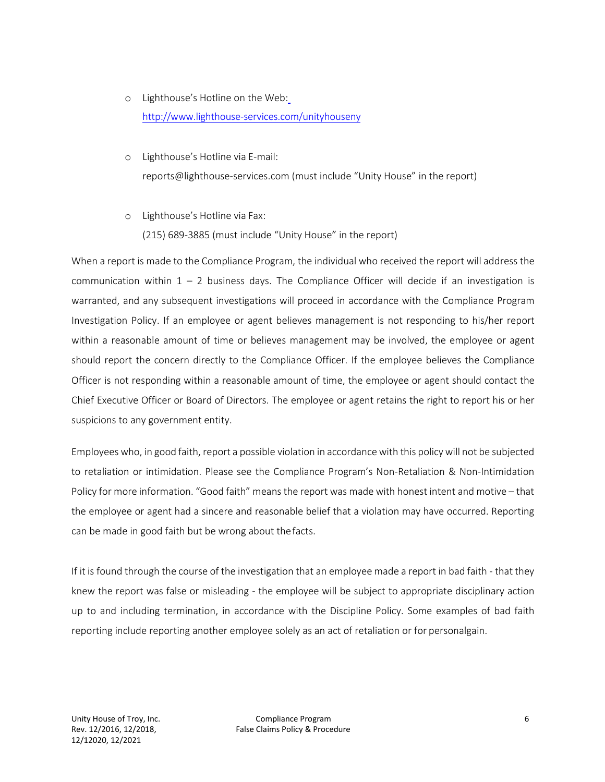- o Lighthouse's Hotline on the Web: <http://www.lighthouse-services.com/unityhouseny>
- o Lighthouse's Hotline via E-mail: [reports@lighthouse-services.com \(](mailto:reports@lighthouse-services.com)must include "Unity House" in the report)
- o Lighthouse's Hotline via Fax:

(215) 689-3885 (must include "Unity House" in the report)

When a report is made to the Compliance Program, the individual who received the report will address the communication within  $1 - 2$  business days. The Compliance Officer will decide if an investigation is warranted, and any subsequent investigations will proceed in accordance with the Compliance Program Investigation Policy. If an employee or agent believes management is not responding to his/her report within a reasonable amount of time or believes management may be involved, the employee or agent should report the concern directly to the Compliance Officer. If the employee believes the Compliance Officer is not responding within a reasonable amount of time, the employee or agent should contact the Chief Executive Officer or Board of Directors. The employee or agent retains the right to report his or her suspicions to any government entity.

Employees who, in good faith, report a possible violation in accordancewith this policy will not be subjected to retaliation or intimidation. Please see the Compliance Program's Non-Retaliation & Non-Intimidation Policy for more information. "Good faith" means the report was made with honest intent and motive – that the employee or agent had a sincere and reasonable belief that a violation may have occurred. Reporting can be made in good faith but be wrong about thefacts.

If it is found through the course of the investigation that an employee made a report in bad faith - that they knew the report was false or misleading - the employee will be subject to appropriate disciplinary action up to and including termination, in accordance with the Discipline Policy. Some examples of bad faith reporting include reporting another employee solely as an act of retaliation or for personalgain.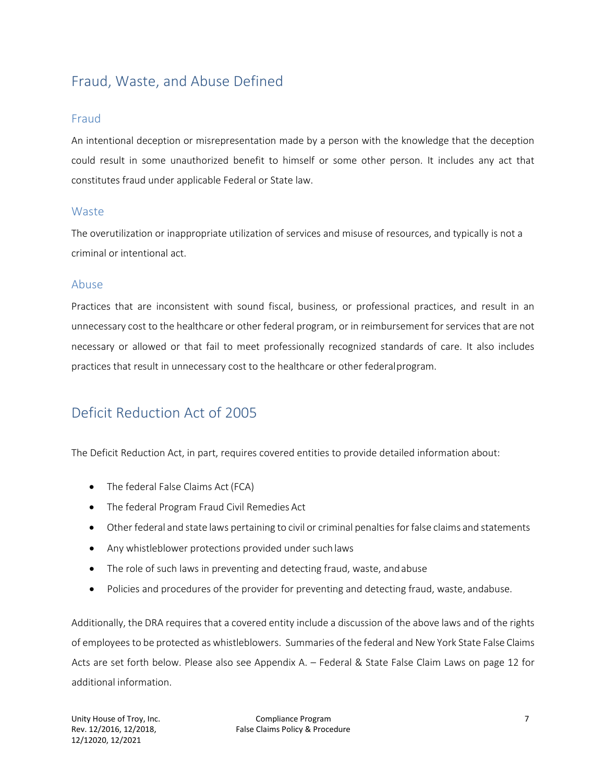## Fraud, Waste, and Abuse Defined

#### Fraud

An intentional deception or misrepresentation made by a person with the knowledge that the deception could result in some unauthorized benefit to himself or some other person. It includes any act that constitutes fraud under applicable Federal or State law.

#### **Waste**

The overutilization or inappropriate utilization of services and misuse of resources, and typically is not a criminal or intentional act.

#### Abuse

Practices that are inconsistent with sound fiscal, business, or professional practices, and result in an unnecessary cost to the healthcare or other federal program, or in reimbursement for services that are not necessary or allowed or that fail to meet professionally recognized standards of care. It also includes practices that result in unnecessary cost to the healthcare or other federalprogram.

## Deficit Reduction Act of 2005

The Deficit Reduction Act, in part, requires covered entities to provide detailed information about:

- The federal False Claims Act (FCA)
- The federal Program Fraud Civil Remedies Act
- Other federal and state laws pertaining to civil or criminal penalties for false claims and statements
- Any whistleblower protections provided under such laws
- The role of such laws in preventing and detecting fraud, waste, and abuse
- Policies and procedures of the provider for preventing and detecting fraud, waste, andabuse.

Additionally, the DRA requires that a covered entity include a discussion of the above laws and of the rights of employees to be protected as whistleblowers. Summaries of the federal and New York State False Claims Acts are set forth below. Please also see Appendix A. – Federal & State False Claim Laws on page 12 for additional information.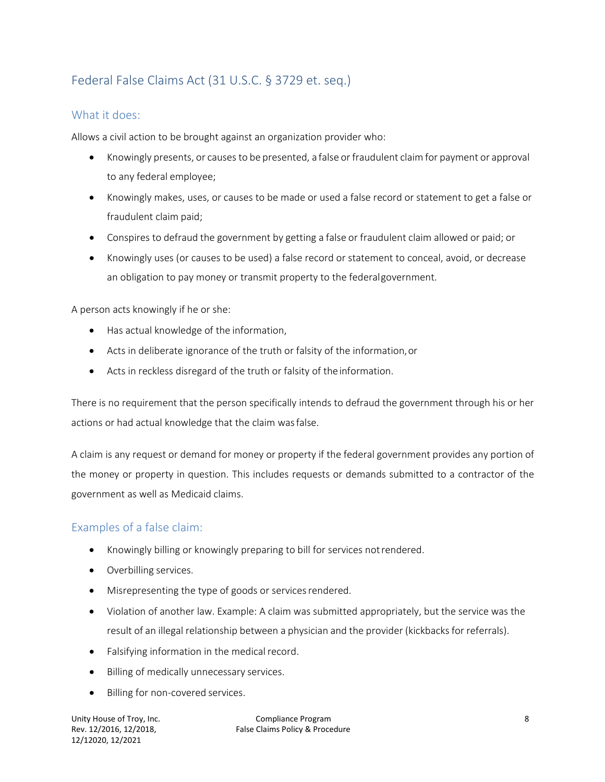## Federal False Claims Act (31 U.S.C. § 3729 et. seq.)

#### What it does:

Allows a civil action to be brought against an organization provider who:

- Knowingly presents, or causes to be presented, a false or fraudulent claim for payment or approval to any federal employee;
- Knowingly makes, uses, or causes to be made or used a false record or statement to get a false or fraudulent claim paid;
- Conspires to defraud the government by getting a false or fraudulent claim allowed or paid; or
- Knowingly uses (or causes to be used) a false record or statement to conceal, avoid, or decrease an obligation to pay money or transmit property to the federalgovernment.

A person acts knowingly if he or she:

- Has actual knowledge of the information,
- Acts in deliberate ignorance of the truth or falsity of the information,or
- Acts in reckless disregard of the truth or falsity of theinformation.

There is no requirement that the person specifically intends to defraud the government through his or her actions or had actual knowledge that the claim wasfalse.

A claim is any request or demand for money or property if the federal government provides any portion of the money or property in question. This includes requests or demands submitted to a contractor of the government as well as Medicaid claims.

#### Examples of a false claim:

- Knowingly billing or knowingly preparing to bill for services notrendered.
- Overbilling services.
- Misrepresenting the type of goods or services rendered.
- Violation of another law. Example: A claim was submitted appropriately, but the service was the result of an illegal relationship between a physician and the provider (kickbacks for referrals).
- Falsifying information in the medical record.
- Billing of medically unnecessary services.
- Billing for non-covered services.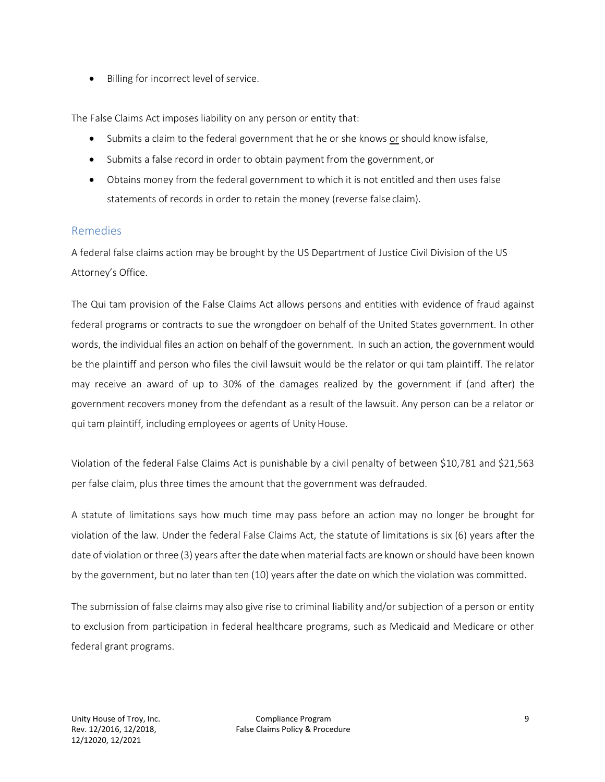• Billing for incorrect level of service.

The False Claims Act imposes liability on any person or entity that:

- Submits a claim to the federal government that he or she knows or should know isfalse,
- Submits a false record in order to obtain payment from the government, or
- Obtains money from the federal government to which it is not entitled and then uses false statements of records in order to retain the money (reverse falseclaim).

#### Remedies

A federal false claims action may be brought by the US Department of Justice Civil Division of the US Attorney's Office.

The Qui tam provision of the False Claims Act allows persons and entities with evidence of fraud against federal programs or contracts to sue the wrongdoer on behalf of the United States government. In other words, the individual files an action on behalf of the government. In such an action, the government would be the plaintiff and person who files the civil lawsuit would be the relator or qui tam plaintiff. The relator may receive an award of up to 30% of the damages realized by the government if (and after) the government recovers money from the defendant as a result of the lawsuit. Any person can be a relator or qui tam plaintiff, including employees or agents of Unity House.

Violation of the federal False Claims Act is punishable by a civil penalty of between \$10,781 and \$21,563 per false claim, plus three times the amount that the government was defrauded.

A statute of limitations says how much time may pass before an action may no longer be brought for violation of the law. Under the federal False Claims Act, the statute of limitations is six (6) years after the date of violation or three (3) years after the datewhen material facts are known orshould have been known by the government, but no later than ten (10) years after the date on which the violation was committed.

The submission of false claims may also give rise to criminal liability and/or subjection of a person or entity to exclusion from participation in federal healthcare programs, such as Medicaid and Medicare or other federal grant programs.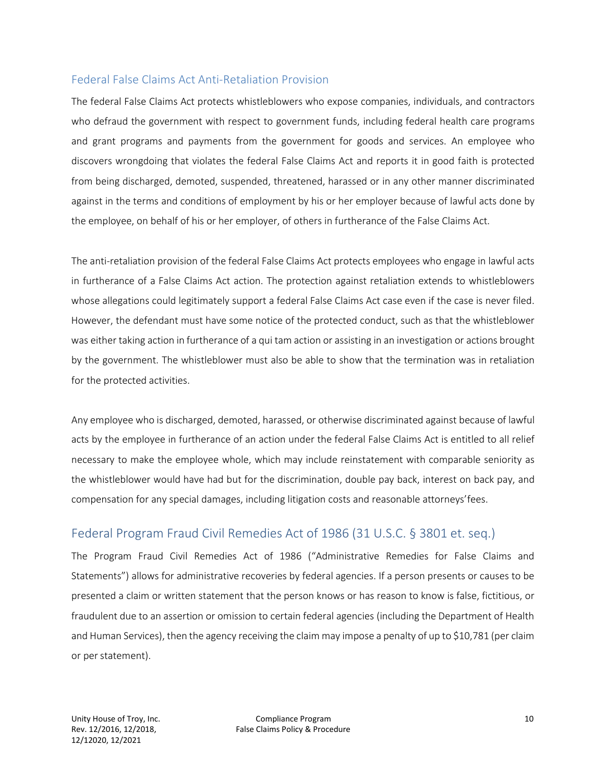#### Federal False Claims Act Anti-Retaliation Provision

The federal False Claims Act protects whistleblowers who expose companies, individuals, and contractors who defraud the government with respect to government funds, including federal health care programs and grant programs and payments from the government for goods and services. An employee who discovers wrongdoing that violates the federal False Claims Act and reports it in good faith is protected from being discharged, demoted, suspended, threatened, harassed or in any other manner discriminated against in the terms and conditions of employment by his or her employer because of lawful acts done by the employee, on behalf of his or her employer, of others in furtherance of the False Claims Act.

The anti-retaliation provision of the federal False Claims Act protects employees who engage in lawful acts in furtherance of a False Claims Act action. The protection against retaliation extends to whistleblowers whose allegations could legitimately support a federal False Claims Act case even if the case is never filed. However, the defendant must have some notice of the protected conduct, such as that the whistleblower was either taking action in furtherance of a qui tam action or assisting in an investigation or actions brought by the government. The whistleblower must also be able to show that the termination was in retaliation for the protected activities.

Any employee who is discharged, demoted, harassed, or otherwise discriminated against because of lawful acts by the employee in furtherance of an action under the federal False Claims Act is entitled to all relief necessary to make the employee whole, which may include reinstatement with comparable seniority as the whistleblower would have had but for the discrimination, double pay back, interest on back pay, and compensation for any special damages, including litigation costs and reasonable attorneys'fees.

## Federal Program Fraud Civil Remedies Act of 1986 (31 U.S.C. § 3801 et. seq.)

The Program Fraud Civil Remedies Act of 1986 ("Administrative Remedies for False Claims and Statements") allows for administrative recoveries by federal agencies. If a person presents or causes to be presented a claim or written statement that the person knows or has reason to know is false, fictitious, or fraudulent due to an assertion or omission to certain federal agencies (including the Department of Health and Human Services), then the agency receiving the claim may impose a penalty of up to \$10,781 (per claim or perstatement).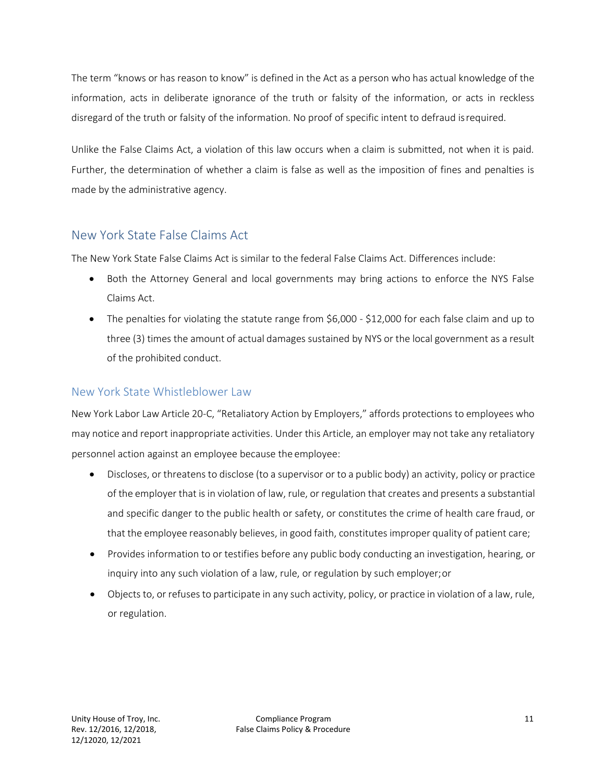The term "knows or has reason to know" is defined in the Act as a person who has actual knowledge of the information, acts in deliberate ignorance of the truth or falsity of the information, or acts in reckless disregard of the truth or falsity of the information. No proof of specific intent to defraud isrequired.

Unlike the False Claims Act, a violation of this law occurs when a claim is submitted, not when it is paid. Further, the determination of whether a claim is false as well as the imposition of fines and penalties is made by the administrative agency.

## New York State False Claims Act

The New York State False Claims Act is similar to the federal False Claims Act. Differences include:

- Both the Attorney General and local governments may bring actions to enforce the NYS False Claims Act.
- The penalties for violating the statute range from \$6,000 \$12,000 for each false claim and up to three (3) times the amount of actual damages sustained by NYS or the local government as a result of the prohibited conduct.

#### New York State Whistleblower Law

New York Labor Law Article 20-C, "Retaliatory Action by Employers," affords protections to employees who may notice and report inappropriate activities. Under this Article, an employer may not take any retaliatory personnel action against an employee because the employee:

- Discloses, or threatens to disclose (to a supervisor or to a public body) an activity, policy or practice of the employer that is in violation of law, rule, or regulation that creates and presents a substantial and specific danger to the public health or safety, or constitutes the crime of health care fraud, or that the employee reasonably believes, in good faith, constitutes improper quality of patient care;
- Provides information to or testifies before any public body conducting an investigation, hearing, or inquiry into any such violation of a law, rule, or regulation by such employer;or
- Objects to, or refuses to participate in any such activity, policy, or practice in violation of a law, rule, or regulation.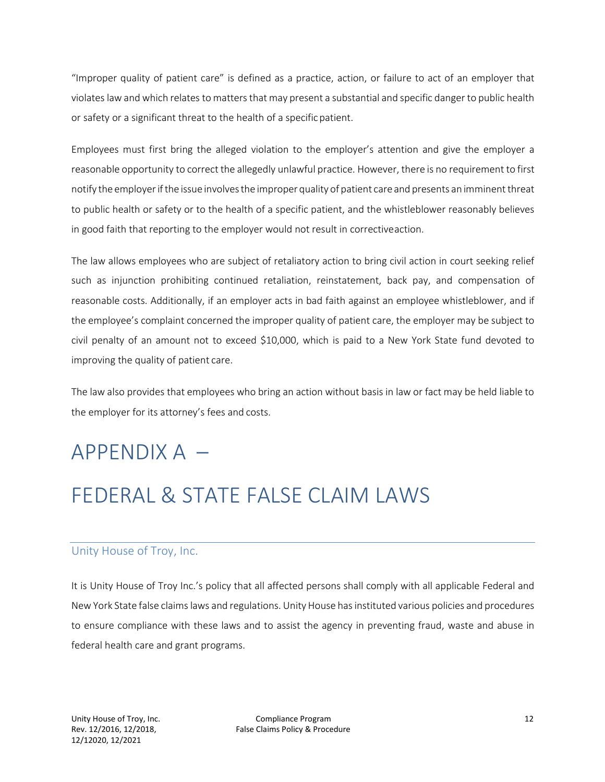"Improper quality of patient care" is defined as a practice, action, or failure to act of an employer that violates law and which relates to matters that may present a substantial and specific danger to public health or safety or a significant threat to the health of a specificpatient.

Employees must first bring the alleged violation to the employer's attention and give the employer a reasonable opportunity to correct the allegedly unlawful practice. However, there is no requirement to first notify the employer if the issue involves the improper quality of patient care and presents an imminent threat to public health or safety or to the health of a specific patient, and the whistleblower reasonably believes in good faith that reporting to the employer would not result in correctiveaction.

The law allows employees who are subject of retaliatory action to bring civil action in court seeking relief such as injunction prohibiting continued retaliation, reinstatement, back pay, and compensation of reasonable costs. Additionally, if an employer acts in bad faith against an employee whistleblower, and if the employee's complaint concerned the improper quality of patient care, the employer may be subject to civil penalty of an amount not to exceed \$10,000, which is paid to a New York State fund devoted to improving the quality of patient care.

The law also provides that employees who bring an action without basis in law or fact may be held liable to the employer for its attorney's fees and costs.

## $APPFNDIX A -$

## FEDERAL & STATE FALSE CLAIM LAWS

#### Unity House of Troy, Inc.

It is Unity House of Troy Inc.'s policy that all affected persons shall comply with all applicable Federal and New York State false claims laws and regulations. Unity House has instituted various policies and procedures to ensure compliance with these laws and to assist the agency in preventing fraud, waste and abuse in federal health care and grant programs.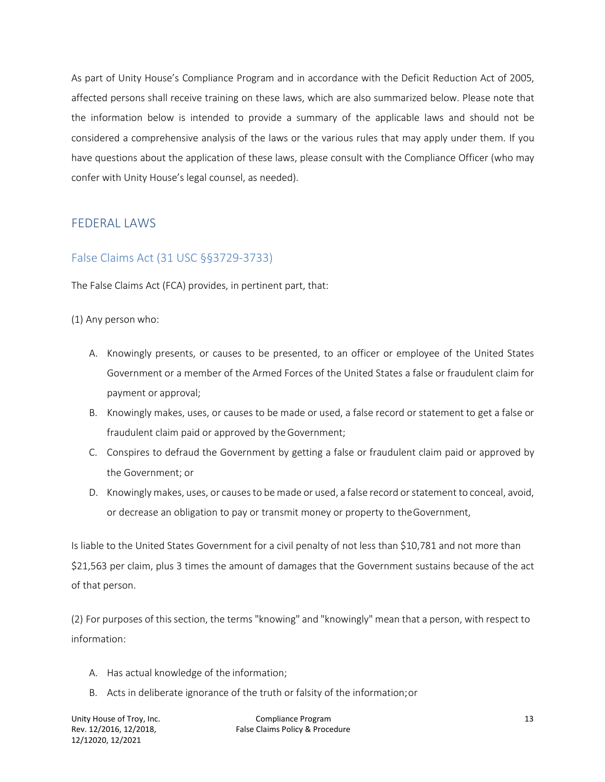As part of Unity House's Compliance Program and in accordance with the Deficit Reduction Act of 2005, affected persons shall receive training on these laws, which are also summarized below. Please note that the information below is intended to provide a summary of the applicable laws and should not be considered a comprehensive analysis of the laws or the various rules that may apply under them. If you have questions about the application of these laws, please consult with the Compliance Officer (who may confer with Unity House's legal counsel, as needed).

#### FEDERAL LAWS

#### False Claims Act (31 USC §§3729-3733)

The False Claims Act (FCA) provides, in pertinent part, that:

(1) Any person who:

- A. Knowingly presents, or causes to be presented, to an officer or employee of the United States Government or a member of the Armed Forces of the United States a false or fraudulent claim for payment or approval;
- B. Knowingly makes, uses, or causes to be made or used, a false record or statement to get a false or fraudulent claim paid or approved by theGovernment;
- C. Conspires to defraud the Government by getting a false or fraudulent claim paid or approved by the Government; or
- D. Knowingly makes, uses, or causes to be made or used, a false record or statement to conceal, avoid, or decrease an obligation to pay or transmit money or property to theGovernment,

Is liable to the United States Government for a civil penalty of not less than \$10,781 and not more than \$21,563 per claim, plus 3 times the amount of damages that the Government sustains because of the act of that person.

(2) For purposes of this section, the terms "knowing" and "knowingly" mean that a person, with respect to information:

- A. Has actual knowledge of the information;
- B. Acts in deliberate ignorance of the truth or falsity of the information;or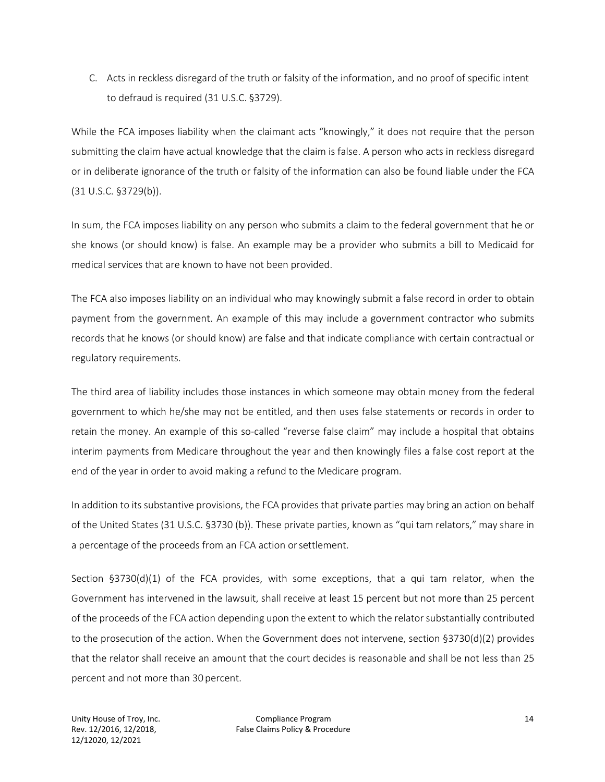C. Acts in reckless disregard of the truth or falsity of the information, and no proof of specific intent to defraud is required (31 U.S.C. §3729).

While the FCA imposes liability when the claimant acts "knowingly," it does not require that the person submitting the claim have actual knowledge that the claim is false. A person who acts in reckless disregard or in deliberate ignorance of the truth or falsity of the information can also be found liable under the FCA (31 U.S.C. §3729(b)).

In sum, the FCA imposes liability on any person who submits a claim to the federal government that he or she knows (or should know) is false. An example may be a provider who submits a bill to Medicaid for medical services that are known to have not been provided.

The FCA also imposes liability on an individual who may knowingly submit a false record in order to obtain payment from the government. An example of this may include a government contractor who submits records that he knows (or should know) are false and that indicate compliance with certain contractual or regulatory requirements.

The third area of liability includes those instances in which someone may obtain money from the federal government to which he/she may not be entitled, and then uses false statements or records in order to retain the money. An example of this so-called "reverse false claim" may include a hospital that obtains interim payments from Medicare throughout the year and then knowingly files a false cost report at the end of the year in order to avoid making a refund to the Medicare program.

In addition to its substantive provisions, the FCA provides that private parties may bring an action on behalf of the United States (31 U.S.C. §3730 (b)). These private parties, known as "qui tam relators," may share in a percentage of the proceeds from an FCA action orsettlement.

Section §3730(d)(1) of the FCA provides, with some exceptions, that a qui tam relator, when the Government has intervened in the lawsuit, shall receive at least 15 percent but not more than 25 percent of the proceeds of the FCA action depending upon the extent to which the relatorsubstantially contributed to the prosecution of the action. When the Government does not intervene, section §3730(d)(2) provides that the relator shall receive an amount that the court decides is reasonable and shall be not less than 25 percent and not more than 30 percent.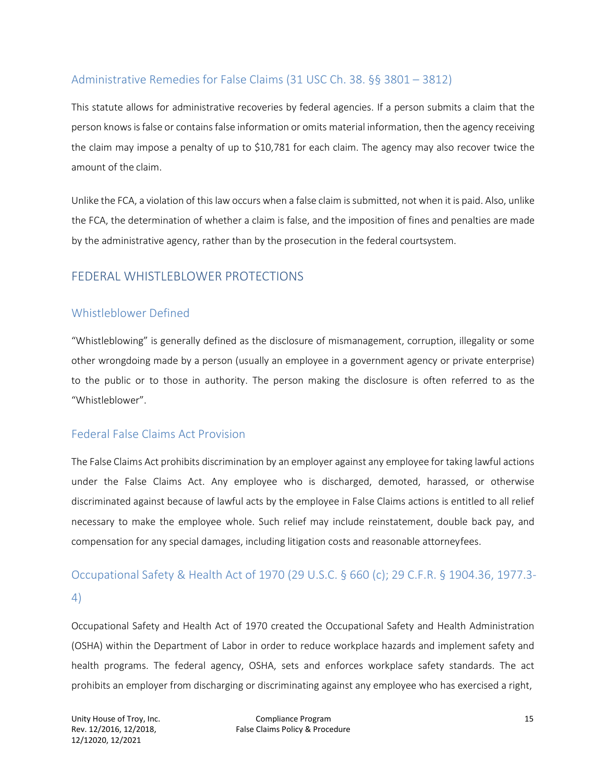#### Administrative Remedies for False Claims (31 USC Ch. 38. §§ 3801 – 3812)

This statute allows for administrative recoveries by federal agencies. If a person submits a claim that the person knowsisfalse or containsfalse information or omits material information, then the agency receiving the claim may impose a penalty of up to \$10,781 for each claim. The agency may also recover twice the amount of the claim.

Unlike the FCA, a violation of this law occurs when a false claim is submitted, not when it is paid. Also, unlike the FCA, the determination of whether a claim is false, and the imposition of fines and penalties are made by the administrative agency, rather than by the prosecution in the federal courtsystem.

#### FEDERAL WHISTLEBLOWER PROTECTIONS

#### Whistleblower Defined

"Whistleblowing" is generally defined as the disclosure of mismanagement, corruption, illegality or some other wrongdoing made by a person (usually an employee in a government agency or private enterprise) to the public or to those in authority. The person making the disclosure is often referred to as the "Whistleblower".

#### Federal False Claims Act Provision

The False Claims Act prohibits discrimination by an employer against any employee for taking lawful actions under the False Claims Act. Any employee who is discharged, demoted, harassed, or otherwise discriminated against because of lawful acts by the employee in False Claims actions is entitled to all relief necessary to make the employee whole. Such relief may include reinstatement, double back pay, and compensation for any special damages, including litigation costs and reasonable attorneyfees.

#### Occupational Safety & Health Act of 1970 (29 U.S.C. § 660 (c); 29 C.F.R. § 1904.36, 1977.3-

#### 4)

Occupational Safety and Health Act of 1970 created the Occupational Safety and Health Administration (OSHA) within the Department of Labor in order to reduce workplace hazards and implement safety and health programs. The federal agency, OSHA, sets and enforces workplace safety standards. The act prohibits an employer from discharging or discriminating against any employee who has exercised a right,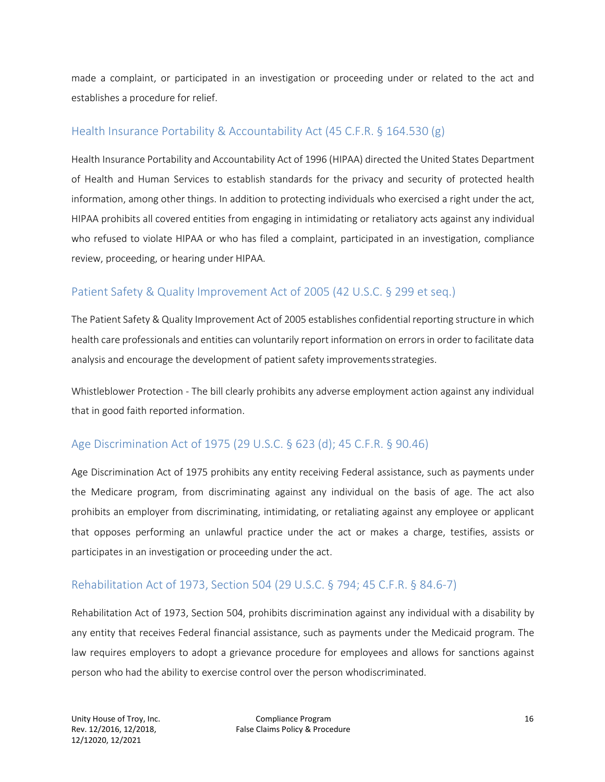made a complaint, or participated in an investigation or proceeding under or related to the act and establishes a procedure for relief.

#### Health Insurance Portability & Accountability Act (45 C.F.R. § 164.530 (g)

Health Insurance Portability and Accountability Act of 1996 (HIPAA) directed the United States Department of Health and Human Services to establish standards for the privacy and security of protected health information, among other things. In addition to protecting individuals who exercised a right under the act, HIPAA prohibits all covered entities from engaging in intimidating or retaliatory acts against any individual who refused to violate HIPAA or who has filed a complaint, participated in an investigation, compliance review, proceeding, or hearing under HIPAA.

#### Patient Safety & Quality Improvement Act of 2005 (42 U.S.C. § 299 et seq.)

The Patient Safety & Quality Improvement Act of 2005 establishes confidential reporting structure in which health care professionals and entities can voluntarily report information on errors in order to facilitate data analysis and encourage the development of patient safety improvementsstrategies.

Whistleblower Protection - The bill clearly prohibits any adverse employment action against any individual that in good faith reported information.

#### Age Discrimination Act of 1975 (29 U.S.C. § 623 (d); 45 C.F.R. § 90.46)

Age Discrimination Act of 1975 prohibits any entity receiving Federal assistance, such as payments under the Medicare program, from discriminating against any individual on the basis of age. The act also prohibits an employer from discriminating, intimidating, or retaliating against any employee or applicant that opposes performing an unlawful practice under the act or makes a charge, testifies, assists or participates in an investigation or proceeding under the act.

#### Rehabilitation Act of 1973, Section 504 (29 U.S.C. § 794; 45 C.F.R. § 84.6-7)

Rehabilitation Act of 1973, Section 504, prohibits discrimination against any individual with a disability by any entity that receives Federal financial assistance, such as payments under the Medicaid program. The law requires employers to adopt a grievance procedure for employees and allows for sanctions against person who had the ability to exercise control over the person whodiscriminated.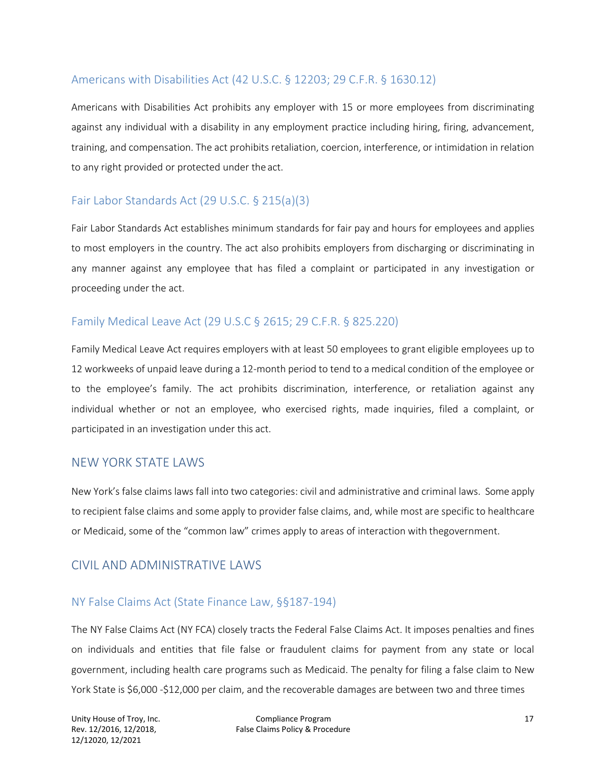#### Americans with Disabilities Act (42 U.S.C. § 12203; 29 C.F.R. § 1630.12)

Americans with Disabilities Act prohibits any employer with 15 or more employees from discriminating against any individual with a disability in any employment practice including hiring, firing, advancement, training, and compensation. The act prohibits retaliation, coercion, interference, or intimidation in relation to any right provided or protected under the act.

#### Fair Labor Standards Act (29 U.S.C. § 215(a)(3)

Fair Labor Standards Act establishes minimum standards for fair pay and hours for employees and applies to most employers in the country. The act also prohibits employers from discharging or discriminating in any manner against any employee that has filed a complaint or participated in any investigation or proceeding under the act.

#### Family Medical Leave Act (29 U.S.C § 2615; 29 C.F.R. § 825.220)

Family Medical Leave Act requires employers with at least 50 employees to grant eligible employees up to 12 workweeks of unpaid leave during a 12-month period to tend to a medical condition of the employee or to the employee's family. The act prohibits discrimination, interference, or retaliation against any individual whether or not an employee, who exercised rights, made inquiries, filed a complaint, or participated in an investigation under this act.

#### NEW YORK STATE LAWS

New York's false claims laws fall into two categories: civil and administrative and criminal laws. Some apply to recipient false claims and some apply to provider false claims, and, while most are specific to healthcare or Medicaid, some of the "common law" crimes apply to areas of interaction with thegovernment.

#### CIVIL AND ADMINISTRATIVE LAWS

#### NY False Claims Act (State Finance Law, §§187-194)

The NY False Claims Act (NY FCA) closely tracts the Federal False Claims Act. It imposes penalties and fines on individuals and entities that file false or fraudulent claims for payment from any state or local government, including health care programs such as Medicaid. The penalty for filing a false claim to New York State is \$6,000 -\$12,000 per claim, and the recoverable damages are between two and three times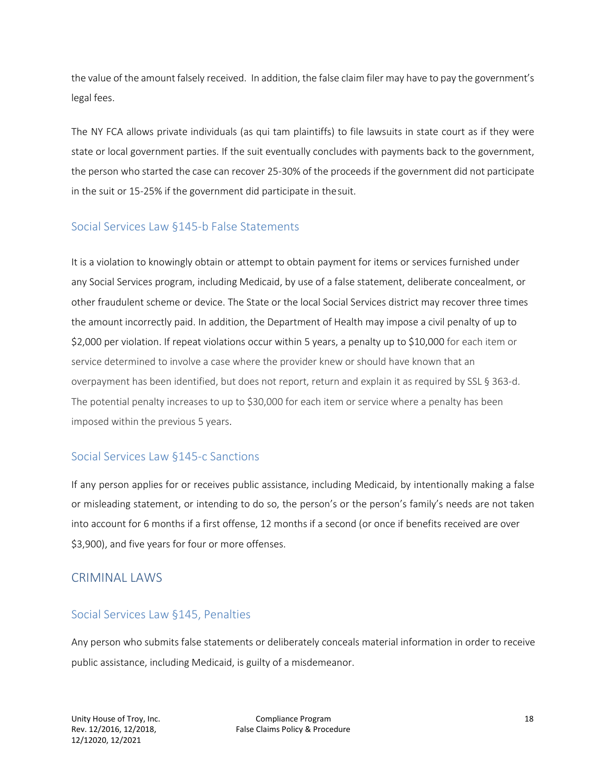the value of the amount falsely received. In addition, the false claim filer may have to pay the government's legal fees.

The NY FCA allows private individuals (as qui tam plaintiffs) to file lawsuits in state court as if they were state or local government parties. If the suit eventually concludes with payments back to the government, the person who started the case can recover 25-30% of the proceeds if the government did not participate in the suit or 15-25% if the government did participate in thesuit.

#### Social Services Law §145-b False Statements

It is a violation to knowingly obtain or attempt to obtain payment for items or services furnished under any Social Services program, including Medicaid, by use of a false statement, deliberate concealment, or other fraudulent scheme or device. The State or the local Social Services district may recover three times the amount incorrectly paid. In addition, the Department of Health may impose a civil penalty of up to \$2,000 per violation. If repeat violations occur within 5 years, a penalty up to \$10,000 for each item or service determined to involve a case where the provider knew or should have known that an overpayment has been identified, but does not report, return and explain it as required by SSL § 363-d. The potential penalty increases to up to \$30,000 for each item or service where a penalty has been imposed within the previous 5 years.

#### Social Services Law §145-c Sanctions

If any person applies for or receives public assistance, including Medicaid, by intentionally making a false or misleading statement, or intending to do so, the person's or the person's family's needs are not taken into account for 6 months if a first offense, 12 months if a second (or once if benefits received are over \$3,900), and five years for four or more offenses.

#### CRIMINAL LAWS

#### Social Services Law §145, Penalties

Any person who submits false statements or deliberately conceals material information in order to receive public assistance, including Medicaid, is guilty of a misdemeanor.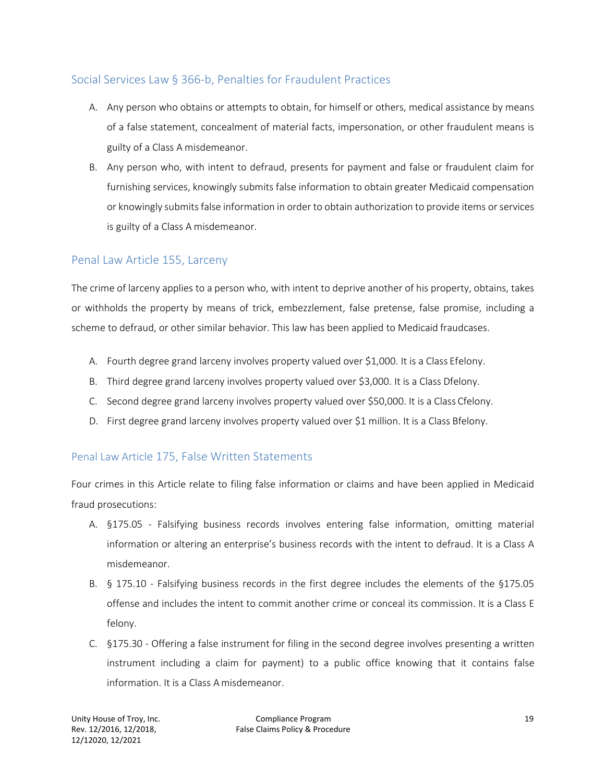#### Social Services Law § 366-b, Penalties for Fraudulent Practices

- A. Any person who obtains or attempts to obtain, for himself or others, medical assistance by means of a false statement, concealment of material facts, impersonation, or other fraudulent means is guilty of a Class A misdemeanor.
- B. Any person who, with intent to defraud, presents for payment and false or fraudulent claim for furnishing services, knowingly submits false information to obtain greater Medicaid compensation or knowingly submitsfalse information in order to obtain authorization to provide items orservices is guilty of a Class A misdemeanor.

#### Penal Law Article 155, Larceny

The crime of larceny applies to a person who, with intent to deprive another of his property, obtains, takes or withholds the property by means of trick, embezzlement, false pretense, false promise, including a scheme to defraud, or other similar behavior. This law has been applied to Medicaid fraudcases.

- A. Fourth degree grand larceny involves property valued over \$1,000. It is a Class Efelony.
- B. Third degree grand larceny involves property valued over \$3,000. It is a Class Dfelony.
- C. Second degree grand larceny involves property valued over \$50,000. It is a Class Cfelony.
- D. First degree grand larceny involves property valued over \$1 million. It is a Class Bfelony.

#### Penal Law Article 175, False Written Statements

Four crimes in this Article relate to filing false information or claims and have been applied in Medicaid fraud prosecutions:

- A. §175.05 Falsifying business records involves entering false information, omitting material information or altering an enterprise's business records with the intent to defraud. It is a Class A misdemeanor.
- B. § 175.10 Falsifying business records in the first degree includes the elements of the §175.05 offense and includes the intent to commit another crime or conceal its commission. It is a Class E felony.
- C. §175.30 Offering a false instrument for filing in the second degree involves presenting a written instrument including a claim for payment) to a public office knowing that it contains false information. It is a Class Amisdemeanor.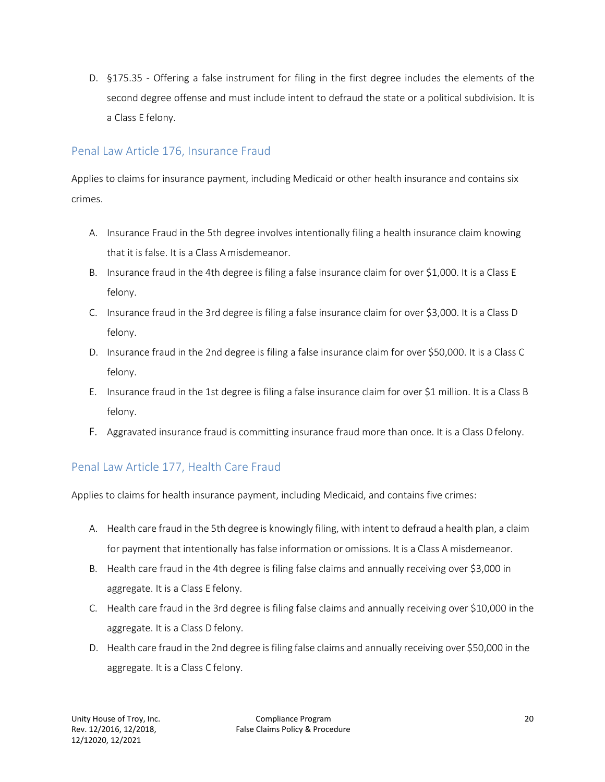D. §175.35 - Offering a false instrument for filing in the first degree includes the elements of the second degree offense and must include intent to defraud the state or a political subdivision. It is a Class E felony.

#### Penal Law Article 176, Insurance Fraud

Applies to claims for insurance payment, including Medicaid or other health insurance and contains six crimes.

- A. Insurance Fraud in the 5th degree involves intentionally filing a health insurance claim knowing that it is false. It is a Class Amisdemeanor.
- B. Insurance fraud in the 4th degree is filing a false insurance claim for over \$1,000. It is a Class E felony.
- C. Insurance fraud in the 3rd degree is filing a false insurance claim for over \$3,000. It is a Class D felony.
- D. Insurance fraud in the 2nd degree is filing a false insurance claim for over \$50,000. It is a Class C felony.
- E. Insurance fraud in the 1st degree is filing a false insurance claim for over \$1 million. It is a Class B felony.
- F. Aggravated insurance fraud is committing insurance fraud more than once. It is a Class Dfelony.

## Penal Law Article 177, Health Care Fraud

Applies to claims for health insurance payment, including Medicaid, and contains five crimes:

- A. Health care fraud in the 5th degree is knowingly filing, with intent to defraud a health plan, a claim for payment that intentionally has false information or omissions. It is a Class A misdemeanor.
- B. Health care fraud in the 4th degree is filing false claims and annually receiving over \$3,000 in aggregate. It is a Class E felony.
- C. Health care fraud in the 3rd degree is filing false claims and annually receiving over \$10,000 in the aggregate. It is a Class D felony.
- D. Health care fraud in the 2nd degree is filing false claims and annually receiving over \$50,000 in the aggregate. It is a Class C felony.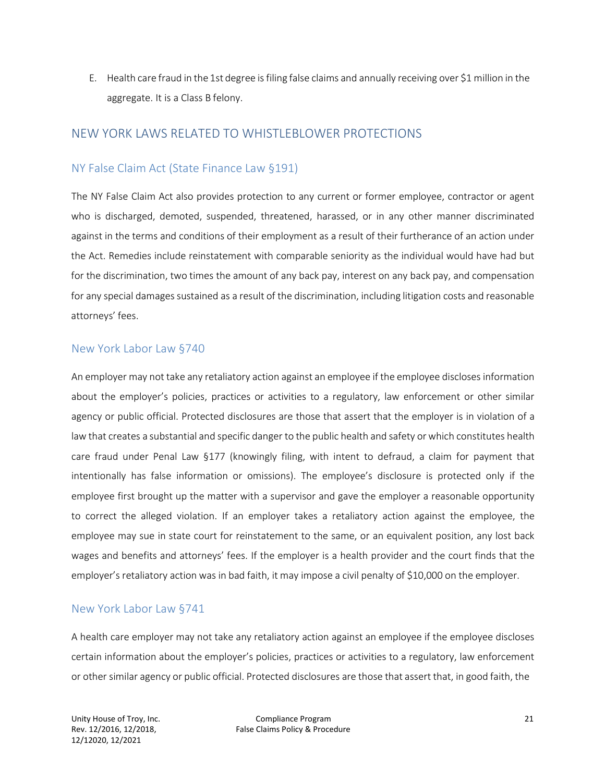E. Health care fraud in the 1st degree isfiling false claims and annually receiving over \$1 million in the aggregate. It is a Class B felony.

#### NEW YORK LAWS RELATED TO WHISTLEBLOWER PROTECTIONS

#### NY False Claim Act (State Finance Law §191)

The NY False Claim Act also provides protection to any current or former employee, contractor or agent who is discharged, demoted, suspended, threatened, harassed, or in any other manner discriminated against in the terms and conditions of their employment as a result of their furtherance of an action under the Act. Remedies include reinstatement with comparable seniority as the individual would have had but for the discrimination, two times the amount of any back pay, interest on any back pay, and compensation for any special damages sustained as a result of the discrimination, including litigation costs and reasonable attorneys' fees.

#### New York Labor Law §740

An employer may not take any retaliatory action against an employee if the employee disclosesinformation about the employer's policies, practices or activities to a regulatory, law enforcement or other similar agency or public official. Protected disclosures are those that assert that the employer is in violation of a law that creates a substantial and specific danger to the public health and safety or which constitutes health care fraud under Penal Law §177 (knowingly filing, with intent to defraud, a claim for payment that intentionally has false information or omissions). The employee's disclosure is protected only if the employee first brought up the matter with a supervisor and gave the employer a reasonable opportunity to correct the alleged violation. If an employer takes a retaliatory action against the employee, the employee may sue in state court for reinstatement to the same, or an equivalent position, any lost back wages and benefits and attorneys' fees. If the employer is a health provider and the court finds that the employer's retaliatory action was in bad faith, it may impose a civil penalty of \$10,000 on the employer.

#### New York Labor Law §741

A health care employer may not take any retaliatory action against an employee if the employee discloses certain information about the employer's policies, practices or activities to a regulatory, law enforcement or other similar agency or public official. Protected disclosures are those that assert that, in good faith, the